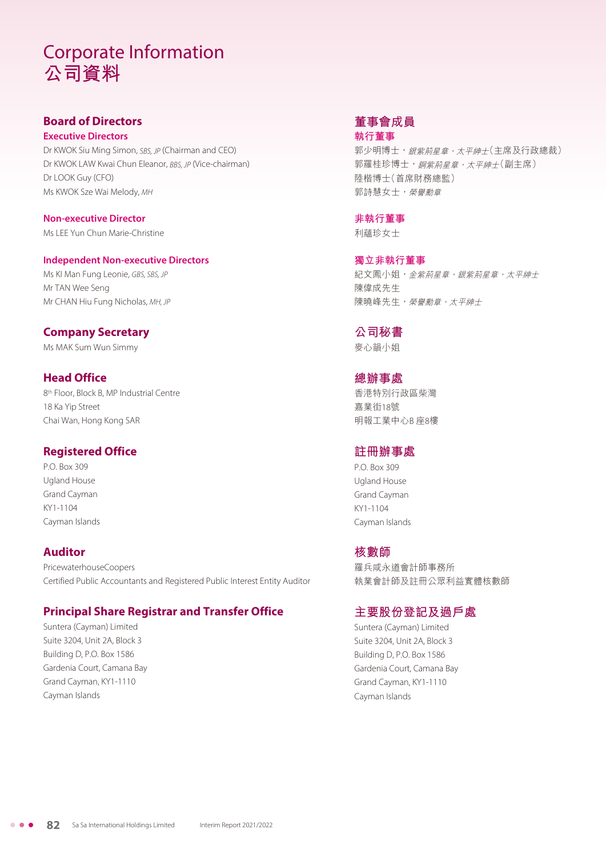# Corporate Information **公司資料**

# **Board of Directors**

**Executive Directors** Dr KWOK Siu Ming Simon, SBS, JP (Chairman and CEO) Dr KWOK LAW Kwai Chun Eleanor, BBS, JP (Vice-chairman) Dr LOOK Guy (CFO) Ms KWOK Sze Wai Melody, MH

**Non-executive Director** Ms LEE Yun Chun Marie-Christine

#### **Independent Non-executive Directors**

Ms KI Man Fung Leonie, GBS, SBS, JP Mr TAN Wee Seng Mr CHAN Hiu Fung Nicholas, MH, JP

## **Company Secretary**

Ms MAK Sum Wun Simmy

# **Head Office**

8th Floor, Block B, MP Industrial Centre 18 Ka Yip Street Chai Wan, Hong Kong SAR

#### **Registered Office**

P.O. Box 309 Ugland House Grand Cayman KY1-1104 Cayman Islands

# **Auditor**

PricewaterhouseCoopers Certified Public Accountants and Registered Public Interest Entity Auditor

#### **Principal Share Registrar and Transfer Office**

Suntera (Cayman) Limited Suite 3204, Unit 2A, Block 3 Building D, P.O. Box 1586 Gardenia Court, Camana Bay Grand Cayman, KY1-1110 Cayman Islands

#### **董事會成員 執行董事**

郭少明博士, 銀紫荊星章, 太平紳士(主席及行政總裁) 郭羅桂珍博士,銅紫荊星章,太平紳士(副主席) 陸楷博士(首席財務總監) 郭詩慧女士,榮譽勳章

#### **非執行董事**

利蘊珍女士

**獨立非執行董事** 紀文鳳小姐,金紫荊星章, 紀案荊星章, 太平紳士 陳偉成先生 陳曉峰先生,榮譽勳章,太平紳士

# **公司秘書**

麥心韻小姐

**總辦事處** 香港特別行政區柴灣 嘉業街18號 明報工業中心B 座8樓

## **註冊辦事處**

P.O. Box 309 Ugland House Grand Cayman KY1-1104 Cayman Islands

#### **核數師**

羅兵咸永道會計師事務所 執業會計師及註冊公眾利益實體核數師

# **主要股份登記及過戶處**

Suntera (Cayman) Limited Suite 3204, Unit 2A, Block 3 Building D, P.O. Box 1586 Gardenia Court, Camana Bay Grand Cayman, KY1-1110 Cayman Islands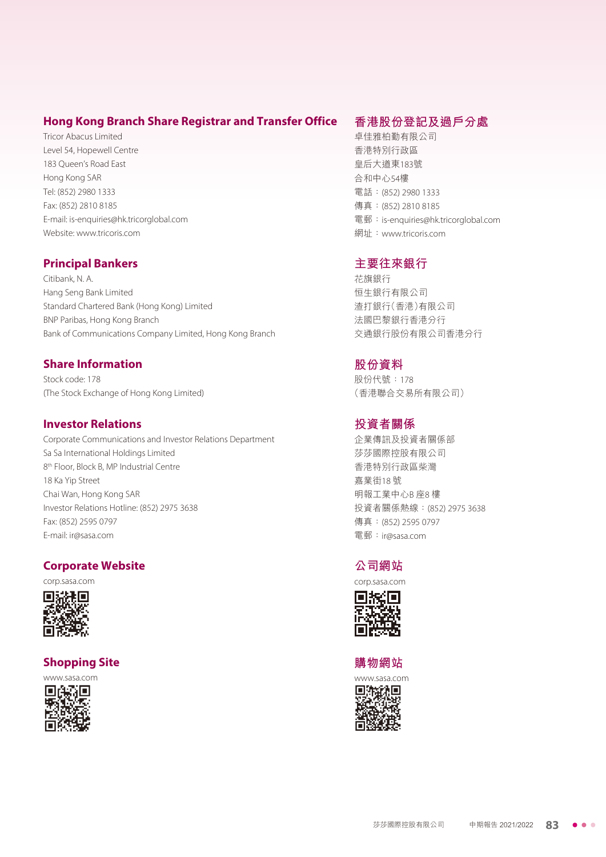#### **Hong Kong Branch Share Registrar and Transfer Office**

Tricor Abacus Limited Level 54, Hopewell Centre 183 Queen's Road East Hong Kong SAR Tel: (852) 2980 1333 Fax: (852) 2810 8185 E-mail: is-enquiries@hk.tricorglobal.com Website: www.tricoris.com

#### **Principal Bankers**

Citibank, N. A. Hang Seng Bank Limited Standard Chartered Bank (Hong Kong) Limited BNP Paribas, Hong Kong Branch Bank of Communications Company Limited, Hong Kong Branch

#### **Share Information**

Stock code: 178 (The Stock Exchange of Hong Kong Limited)

#### **Investor Relations**

Corporate Communications and Investor Relations Department Sa Sa International Holdings Limited 8th Floor, Block B, MP Industrial Centre 18 Ka Yip Street Chai Wan, Hong Kong SAR Investor Relations Hotline: (852) 2975 3638 Fax: (852) 2595 0797 E-mail: ir@sasa.com

#### **Corporate Website**

corp.sasa.com



#### **Shopping Site**



### **香港股份登記及過戶分處**

卓佳雅柏勤有限公司 香港特別行政區 皇后大道東183號 合和中心54樓 電話:(852) 2980 1333 傳真:(852) 2810 8185 電郵:is-enquiries@hk.tricorglobal.com 網址:www.tricoris.com

#### **主要往來銀行**

花旗銀行 恒生銀行有限公司 渣打銀行(香港)有限公司 法國巴黎銀行香港分行 交通銀行股份有限公司香港分行

## **股份資料**

股份代號:178 (香港聯合交易所有限公司)

### **投資者關係**

企業傳訊及投資者關係部 莎莎國際控股有限公司 香港特別行政區柴灣 嘉業街18 號 明報工業中心B 座8 樓 投資者關係熱線:(852) 2975 3638 傳真:(852) 2595 0797 電郵:ir@sasa.com

#### **公司網站**

corp.sasa.com



#### **購物網站**